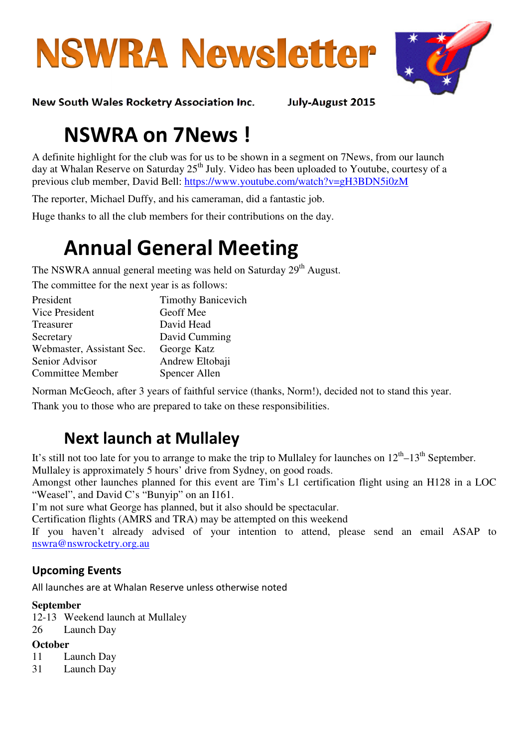



New South Wales Rocketry Association Inc. July-August 2015

# NSWRA on 7News !

A definite highlight for the club was for us to be shown in a segment on 7News, from our launch day at Whalan Reserve on Saturday 25<sup>th</sup> July. Video has been uploaded to Youtube, courtesy of a previous club member, David Bell: https://www.youtube.com/watch?v=gH3BDN5i0zM

The reporter, Michael Duffy, and his cameraman, did a fantastic job.

Huge thanks to all the club members for their contributions on the day.

# Annual General Meeting

The NSWRA annual general meeting was held on Saturday 29<sup>th</sup> August.

The committee for the next year is as follows:

| President                 | <b>Timothy Banicevich</b> |
|---------------------------|---------------------------|
| Vice President            | Geoff Mee                 |
| Treasurer                 | David Head                |
| Secretary                 | David Cumming             |
| Webmaster, Assistant Sec. | George Katz               |
| Senior Advisor            | Andrew Eltobaji           |
| <b>Committee Member</b>   | Spencer Allen             |

Norman McGeoch, after 3 years of faithful service (thanks, Norm!), decided not to stand this year.

Thank you to those who are prepared to take on these responsibilities.

# Next launch at Mullaley

It's still not too late for you to arrange to make the trip to Mullaley for launches on  $12^{th}$ – $13^{th}$  September. Mullaley is approximately 5 hours' drive from Sydney, on good roads.

Amongst other launches planned for this event are Tim's L1 certification flight using an H128 in a LOC "Weasel", and David C's "Bunyip" on an I161.

I'm not sure what George has planned, but it also should be spectacular.

Certification flights (AMRS and TRA) may be attempted on this weekend

If you haven't already advised of your intention to attend, please send an email ASAP to nswra@nswrocketry.org.au

### Upcoming Events

All launches are at Whalan Reserve unless otherwise noted

#### **September**

- 12-13 Weekend launch at Mullaley
- 26 Launch Day

#### **October**

- 11 Launch Day
- 31 Launch Day